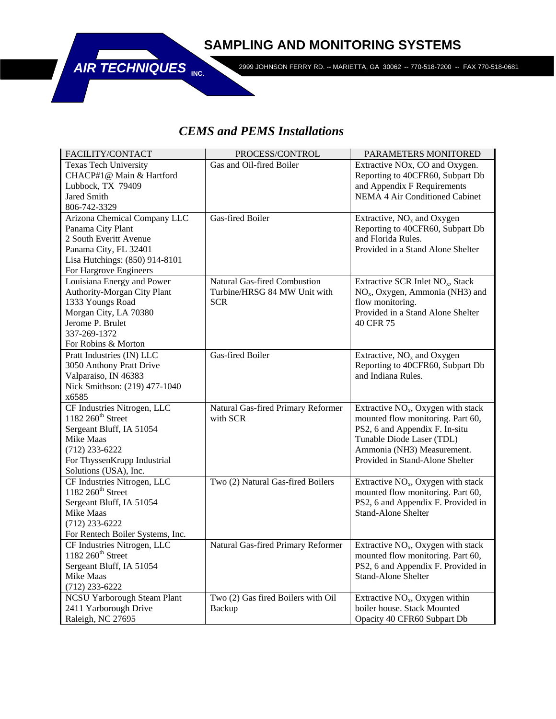## **SAMPLING AND MONITORING SYSTEMS**



2999 JOHNSON FERRY RD. -- MARIETTA, GA 30062 -- 770-518-7200 -- FAX 770-518-0681

## *CEMS and PEMS Installations*

| FACILITY/CONTACT                   | PROCESS/CONTROL                     | PARAMETERS MONITORED                         |
|------------------------------------|-------------------------------------|----------------------------------------------|
| <b>Texas Tech University</b>       | Gas and Oil-fired Boiler            | Extractive NO <sub>x</sub> , CO and Oxygen.  |
| CHACP#1@ Main & Hartford           |                                     | Reporting to 40CFR60, Subpart Db             |
| Lubbock, TX 79409                  |                                     | and Appendix F Requirements                  |
| <b>Jared Smith</b>                 |                                     | NEMA 4 Air Conditioned Cabinet               |
| 806-742-3329                       |                                     |                                              |
| Arizona Chemical Company LLC       | <b>Gas-fired Boiler</b>             | Extractive, $NOx$ and Oxygen                 |
| Panama City Plant                  |                                     | Reporting to 40CFR60, Subpart Db             |
| 2 South Everitt Avenue             |                                     | and Florida Rules.                           |
| Panama City, FL 32401              |                                     | Provided in a Stand Alone Shelter            |
| Lisa Hutchings: (850) 914-8101     |                                     |                                              |
| For Hargrove Engineers             |                                     |                                              |
| Louisiana Energy and Power         | <b>Natural Gas-fired Combustion</b> | Extractive SCR Inlet NO <sub>x</sub> , Stack |
| Authority-Morgan City Plant        | Turbine/HRSG 84 MW Unit with        | $NOx$ , Oxygen, Ammonia (NH3) and            |
| 1333 Youngs Road                   | <b>SCR</b>                          | flow monitoring.                             |
| Morgan City, LA 70380              |                                     | Provided in a Stand Alone Shelter            |
| Jerome P. Brulet                   |                                     | 40 CFR 75                                    |
| 337-269-1372                       |                                     |                                              |
| For Robins & Morton                |                                     |                                              |
| Pratt Industries (IN) LLC          | Gas-fired Boiler                    | Extractive, $NOx$ and $Oxygen$               |
| 3050 Anthony Pratt Drive           |                                     | Reporting to 40CFR60, Subpart Db             |
| Valparaiso, IN 46383               |                                     | and Indiana Rules.                           |
| Nick Smithson: (219) 477-1040      |                                     |                                              |
| x6585                              |                                     |                                              |
| CF Industries Nitrogen, LLC        | Natural Gas-fired Primary Reformer  | Extractive $NOx$ , Oxygen with stack         |
| 1182 260 <sup>th</sup> Street      | with SCR                            | mounted flow monitoring. Part 60,            |
| Sergeant Bluff, IA 51054           |                                     | PS2, 6 and Appendix F. In-situ               |
| Mike Maas                          |                                     | Tunable Diode Laser (TDL)                    |
| $(712)$ 233-6222                   |                                     | Ammonia (NH3) Measurement.                   |
| For ThyssenKrupp Industrial        |                                     | Provided in Stand-Alone Shelter              |
| Solutions (USA), Inc.              |                                     |                                              |
| CF Industries Nitrogen, LLC        | Two (2) Natural Gas-fired Boilers   | Extractive $NOx$ , Oxygen with stack         |
| 1182 260 <sup>th</sup> Street      |                                     | mounted flow monitoring. Part 60,            |
| Sergeant Bluff, IA 51054           |                                     | PS2, 6 and Appendix F. Provided in           |
| Mike Maas                          |                                     | <b>Stand-Alone Shelter</b>                   |
| $(712)$ 233-6222                   |                                     |                                              |
| For Rentech Boiler Systems, Inc.   |                                     |                                              |
| CF Industries Nitrogen, LLC        | Natural Gas-fired Primary Reformer  | Extractive $NOx$ , Oxygen with stack         |
| 1182 260 <sup>th</sup> Street      |                                     | mounted flow monitoring. Part 60,            |
| Sergeant Bluff, IA 51054           |                                     | PS2, 6 and Appendix F. Provided in           |
| Mike Maas                          |                                     | <b>Stand-Alone Shelter</b>                   |
| $(712)$ 233-6222                   |                                     |                                              |
| <b>NCSU Yarborough Steam Plant</b> | Two (2) Gas fired Boilers with Oil  | Extractive $NOx$ , Oxygen within             |
| 2411 Yarborough Drive              | Backup                              | boiler house. Stack Mounted                  |
| Raleigh, NC 27695                  |                                     | Opacity 40 CFR60 Subpart Db                  |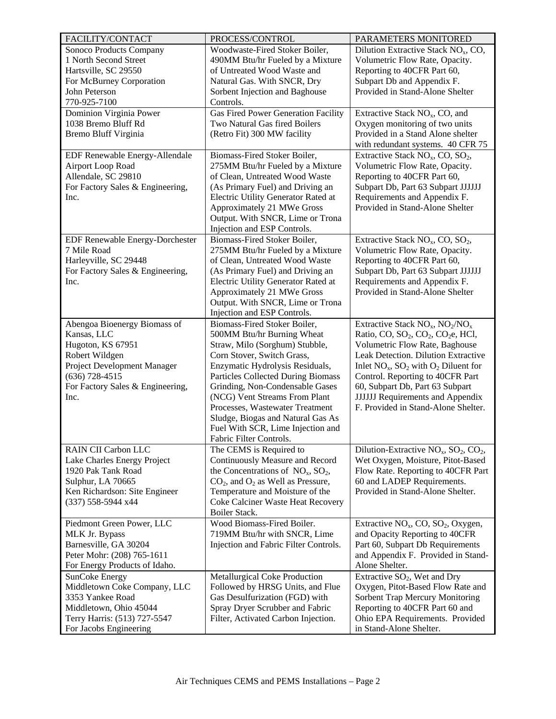| FACILITY/CONTACT                                    | PROCESS/CONTROL                             | PARAMETERS MONITORED                                                   |
|-----------------------------------------------------|---------------------------------------------|------------------------------------------------------------------------|
| Sonoco Products Company                             | Woodwaste-Fired Stoker Boiler,              | Dilution Extractive Stack $NOx$ , CO,                                  |
| 1 North Second Street                               | 490MM Btu/hr Fueled by a Mixture            | Volumetric Flow Rate, Opacity.                                         |
| Hartsville, SC 29550                                | of Untreated Wood Waste and                 | Reporting to 40CFR Part 60,                                            |
| For McBurney Corporation                            | Natural Gas. With SNCR, Dry                 | Subpart Db and Appendix F.                                             |
| John Peterson                                       | Sorbent Injection and Baghouse              | Provided in Stand-Alone Shelter                                        |
| 770-925-7100                                        | Controls.                                   |                                                                        |
| Dominion Virginia Power                             | <b>Gas Fired Power Generation Facility</b>  | Extractive Stack NO <sub>x</sub> , CO, and                             |
| 1038 Bremo Bluff Rd                                 | Two Natural Gas fired Boilers               | Oxygen monitoring of two units                                         |
| Bremo Bluff Virginia                                | (Retro Fit) 300 MW facility                 | Provided in a Stand Alone shelter                                      |
|                                                     |                                             | with redundant systems. 40 CFR 75                                      |
| EDF Renewable Energy-Allendale                      | Biomass-Fired Stoker Boiler,                | Extractive Stack NO <sub>x</sub> , CO, SO <sub>2</sub> ,               |
| Airport Loop Road                                   | 275MM Btu/hr Fueled by a Mixture            | Volumetric Flow Rate, Opacity.                                         |
| Allendale, SC 29810                                 | of Clean, Untreated Wood Waste              | Reporting to 40CFR Part 60,                                            |
| For Factory Sales & Engineering,                    | (As Primary Fuel) and Driving an            | Subpart Db, Part 63 Subpart JJJJJJ                                     |
| Inc.                                                | Electric Utility Generator Rated at         | Requirements and Appendix F.                                           |
|                                                     | Approximately 21 MWe Gross                  | Provided in Stand-Alone Shelter                                        |
|                                                     | Output. With SNCR, Lime or Trona            |                                                                        |
|                                                     | Injection and ESP Controls.                 |                                                                        |
| EDF Renewable Energy-Dorchester                     | Biomass-Fired Stoker Boiler,                | Extractive Stack NO <sub>x</sub> , CO, SO <sub>2</sub> ,               |
| 7 Mile Road                                         | 275MM Btu/hr Fueled by a Mixture            | Volumetric Flow Rate, Opacity.                                         |
| Harleyville, SC 29448                               | of Clean, Untreated Wood Waste              | Reporting to 40CFR Part 60,                                            |
| For Factory Sales & Engineering,                    | (As Primary Fuel) and Driving an            | Subpart Db, Part 63 Subpart JJJJJJ                                     |
| Inc.                                                | Electric Utility Generator Rated at         | Requirements and Appendix F.                                           |
|                                                     | Approximately 21 MWe Gross                  | Provided in Stand-Alone Shelter                                        |
|                                                     | Output. With SNCR, Lime or Trona            |                                                                        |
|                                                     | Injection and ESP Controls.                 |                                                                        |
| Abengoa Bioenergy Biomass of                        | Biomass-Fired Stoker Boiler,                | Extractive Stack $NO_x$ , $NO_2/NO_x$                                  |
| Kansas, LLC                                         | 500MM Btu/hr Burning Wheat                  | Ratio, CO, SO <sub>2</sub> , CO <sub>2</sub> , CO <sub>2</sub> e, HCl, |
| Hugoton, KS 67951                                   | Straw, Milo (Sorghum) Stubble,              | Volumetric Flow Rate, Baghouse                                         |
| Robert Wildgen                                      | Corn Stover, Switch Grass,                  | Leak Detection. Dilution Extractive                                    |
| Project Development Manager                         | Enzymatic Hydrolysis Residuals,             | Inlet $NO_x$ , $SO_2$ with $O_2$ Diluent for                           |
| $(636)$ 728-4515                                    | Particles Collected During Biomass          | Control. Reporting to 40CFR Part                                       |
| For Factory Sales & Engineering,                    | Grinding, Non-Condensable Gases             | 60, Subpart Db, Part 63 Subpart                                        |
| Inc.                                                | (NCG) Vent Streams From Plant               | <b>JJJJJJ Requirements and Appendix</b>                                |
|                                                     | Processes, Wastewater Treatment             | F. Provided in Stand-Alone Shelter.                                    |
|                                                     | Sludge, Biogas and Natural Gas As           |                                                                        |
|                                                     | Fuel With SCR, Lime Injection and           |                                                                        |
|                                                     | Fabric Filter Controls.                     |                                                                        |
| RAIN CII Carbon LLC                                 | The CEMS is Required to                     | Dilution-Extractive $NOx$ , $SO2$ , $CO2$ ,                            |
| Lake Charles Energy Project                         | Continuously Measure and Record             | Wet Oxygen, Moisture, Pitot-Based                                      |
| 1920 Pak Tank Road                                  | the Concentrations of $NO_x$ , $SO_2$ ,     | Flow Rate. Reporting to 40CFR Part                                     |
| Sulphur, LA 70665                                   | $CO2$ , and $O2$ as Well as Pressure,       | 60 and LADEP Requirements.                                             |
| Ken Richardson: Site Engineer                       | Temperature and Moisture of the             | Provided in Stand-Alone Shelter.                                       |
| (337) 558-5944 x44                                  | Coke Calciner Waste Heat Recovery           |                                                                        |
|                                                     | Boiler Stack.<br>Wood Biomass-Fired Boiler. |                                                                        |
| Piedmont Green Power, LLC                           |                                             | Extractive $NOx$ , CO, SO <sub>2</sub> , Oxygen,                       |
| MLK Jr. Bypass                                      | 719MM Btu/hr with SNCR, Lime                | and Opacity Reporting to 40CFR                                         |
| Barnesville, GA 30204<br>Peter Mohr: (208) 765-1611 | Injection and Fabric Filter Controls.       | Part 60, Subpart Db Requirements<br>and Appendix F. Provided in Stand- |
| For Energy Products of Idaho.                       |                                             | Alone Shelter.                                                         |
| SunCoke Energy                                      | Metallurgical Coke Production               | Extractive SO <sub>2</sub> , Wet and Dry                               |
| Middletown Coke Company, LLC                        | Followed by HRSG Units, and Flue            | Oxygen, Pitot-Based Flow Rate and                                      |
| 3353 Yankee Road                                    | Gas Desulfurization (FGD) with              | Sorbent Trap Mercury Monitoring                                        |
| Middletown, Ohio 45044                              | Spray Dryer Scrubber and Fabric             | Reporting to 40CFR Part 60 and                                         |
| Terry Harris: (513) 727-5547                        | Filter, Activated Carbon Injection.         | Ohio EPA Requirements. Provided                                        |
| For Jacobs Engineering                              |                                             | in Stand-Alone Shelter.                                                |
|                                                     |                                             |                                                                        |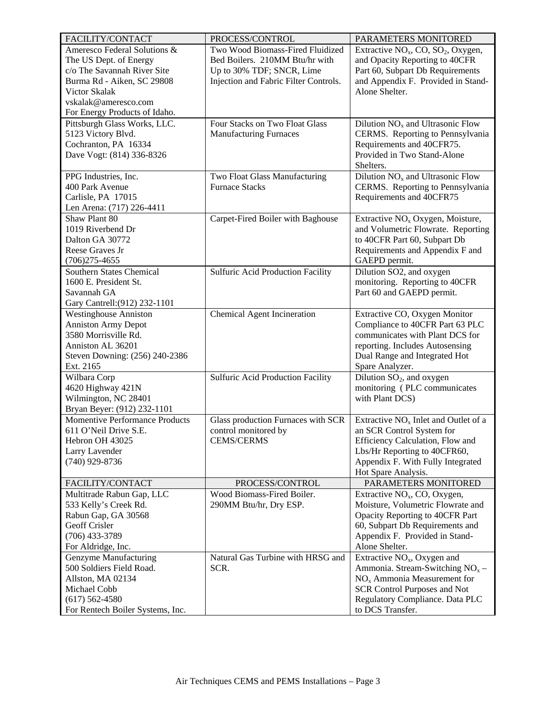| FACILITY/CONTACT                                                                                                                                                                              | PROCESS/CONTROL                                                                                                                          | PARAMETERS MONITORED                                                                                                                                                                                |
|-----------------------------------------------------------------------------------------------------------------------------------------------------------------------------------------------|------------------------------------------------------------------------------------------------------------------------------------------|-----------------------------------------------------------------------------------------------------------------------------------------------------------------------------------------------------|
| Ameresco Federal Solutions &<br>The US Dept. of Energy<br>c/o The Savannah River Site<br>Burma Rd - Aiken, SC 29808<br>Victor Skalak<br>vskalak@ameresco.com<br>For Energy Products of Idaho. | Two Wood Biomass-Fired Fluidized<br>Bed Boilers. 210MM Btu/hr with<br>Up to 30% TDF; SNCR, Lime<br>Injection and Fabric Filter Controls. | Extractive $NO_x$ , CO, $SO_2$ , Oxygen,<br>and Opacity Reporting to 40CFR<br>Part 60, Subpart Db Requirements<br>and Appendix F. Provided in Stand-<br>Alone Shelter.                              |
| Pittsburgh Glass Works, LLC.<br>5123 Victory Blvd.<br>Cochranton, PA 16334<br>Dave Vogt: (814) 336-8326                                                                                       | Four Stacks on Two Float Glass<br><b>Manufacturing Furnaces</b>                                                                          | Dilution $NOx$ and Ultrasonic Flow<br>CERMS. Reporting to Pennsylvania<br>Requirements and 40CFR75.<br>Provided in Two Stand-Alone<br>Shelters.                                                     |
| PPG Industries, Inc.<br>400 Park Avenue<br>Carlisle, PA 17015<br>Len Arena: (717) 226-4411                                                                                                    | Two Float Glass Manufacturing<br><b>Furnace Stacks</b>                                                                                   | Dilution $NOx$ and Ultrasonic Flow<br>CERMS. Reporting to Pennsylvania<br>Requirements and 40CFR75                                                                                                  |
| Shaw Plant 80<br>1019 Riverbend Dr<br>Dalton GA 30772<br>Reese Graves Jr<br>$(706)275 - 4655$                                                                                                 | Carpet-Fired Boiler with Baghouse                                                                                                        | Extractive NO <sub>x</sub> Oxygen, Moisture,<br>and Volumetric Flowrate. Reporting<br>to 40CFR Part 60, Subpart Db<br>Requirements and Appendix F and<br>GAEPD permit.                              |
| <b>Southern States Chemical</b><br>1600 E. President St.<br>Savannah GA<br>Gary Cantrell: (912) 232-1101                                                                                      | <b>Sulfuric Acid Production Facility</b>                                                                                                 | Dilution SO2, and oxygen<br>monitoring. Reporting to 40CFR<br>Part 60 and GAEPD permit.                                                                                                             |
| <b>Westinghouse Anniston</b><br><b>Anniston Army Depot</b><br>3580 Morrisville Rd.<br>Anniston AL 36201<br>Steven Downing: (256) 240-2386<br>Ext. 2165                                        | Chemical Agent Incineration                                                                                                              | Extractive CO, Oxygen Monitor<br>Compliance to 40CFR Part 63 PLC<br>communicates with Plant DCS for<br>reporting. Includes Autosensing<br>Dual Range and Integrated Hot<br>Spare Analyzer.          |
| Wilbara Corp<br>4620 Highway 421N<br>Wilmington, NC 28401<br>Bryan Beyer: (912) 232-1101                                                                                                      | Sulfuric Acid Production Facility                                                                                                        | Dilution $SO_2$ , and oxygen<br>monitoring (PLC communicates<br>with Plant DCS)                                                                                                                     |
| <b>Momentive Performance Products</b><br>611 O'Neil Drive S.E.<br>Hebron OH 43025<br>Larry Lavender<br>$(740)$ 929-8736                                                                       | Glass production Furnaces with SCR<br>control monitored by<br><b>CEMS/CERMS</b>                                                          | Extractive $NOx$ Inlet and Outlet of a<br>an SCR Control System for<br>Efficiency Calculation, Flow and<br>Lbs/Hr Reporting to 40CFR60,<br>Appendix F. With Fully Integrated<br>Hot Spare Analysis. |
| FACILITY/CONTACT                                                                                                                                                                              | PROCESS/CONTROL                                                                                                                          | PARAMETERS MONITORED                                                                                                                                                                                |
| Multitrade Rabun Gap, LLC<br>533 Kelly's Creek Rd.<br>Rabun Gap, GA 30568<br>Geoff Crisler<br>$(706)$ 433-3789<br>For Aldridge, Inc.                                                          | Wood Biomass-Fired Boiler.<br>290MM Btu/hr, Dry ESP.                                                                                     | Extractive $NOx$ , CO, Oxygen,<br>Moisture, Volumetric Flowrate and<br>Opacity Reporting to 40CFR Part<br>60, Subpart Db Requirements and<br>Appendix F. Provided in Stand-<br>Alone Shelter.       |
| Genzyme Manufacturing<br>500 Soldiers Field Road.<br>Allston, MA 02134<br>Michael Cobb<br>$(617) 562 - 4580$<br>For Rentech Boiler Systems, Inc.                                              | Natural Gas Turbine with HRSG and<br>SCR.                                                                                                | Extractive $NOx$ , Oxygen and<br>Ammonia. Stream-Switching $NOx$ –<br>$NOx$ Ammonia Measurement for<br><b>SCR Control Purposes and Not</b><br>Regulatory Compliance. Data PLC<br>to DCS Transfer.   |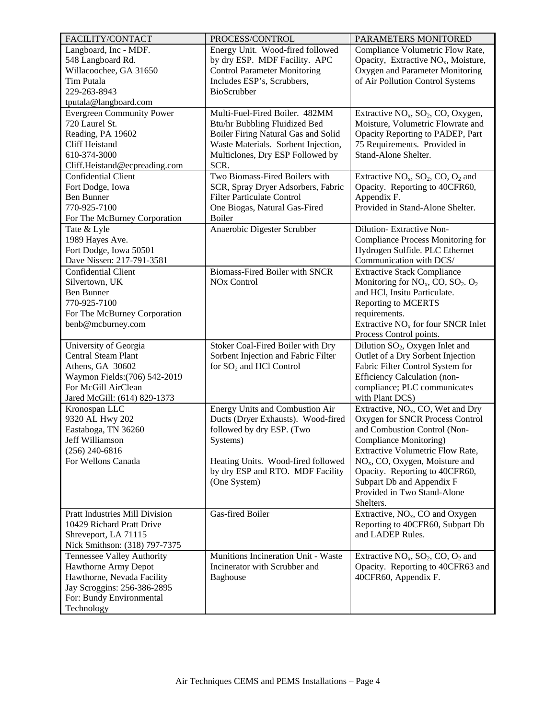| FACILITY/CONTACT                                                                                                                                                | PROCESS/CONTROL                                                                                                                                                                                          | PARAMETERS MONITORED                                                                                                                                                                                                                                                                                                                 |
|-----------------------------------------------------------------------------------------------------------------------------------------------------------------|----------------------------------------------------------------------------------------------------------------------------------------------------------------------------------------------------------|--------------------------------------------------------------------------------------------------------------------------------------------------------------------------------------------------------------------------------------------------------------------------------------------------------------------------------------|
| Langboard, Inc - MDF.<br>548 Langboard Rd.<br>Willacoochee, GA 31650<br>Tim Putala<br>229-263-8943<br>tputala@langboard.com                                     | Energy Unit. Wood-fired followed<br>by dry ESP. MDF Facility. APC<br><b>Control Parameter Monitoring</b><br>Includes ESP's, Scrubbers,<br>BioScrubber                                                    | Compliance Volumetric Flow Rate,<br>Opacity, Extractive NO <sub>x</sub> , Moisture,<br>Oxygen and Parameter Monitoring<br>of Air Pollution Control Systems                                                                                                                                                                           |
| <b>Evergreen Community Power</b><br>720 Laurel St.<br>Reading, PA 19602<br><b>Cliff Heistand</b><br>610-374-3000<br>Cliff.Heistand@ecpreading.com               | Multi-Fuel-Fired Boiler. 482MM<br>Btu/hr Bubbling Fluidized Bed<br>Boiler Firing Natural Gas and Solid<br>Waste Materials. Sorbent Injection,<br>Multiclones, Dry ESP Followed by<br>SCR.                | Extractive $NOx$ , SO <sub>2</sub> , CO, Oxygen,<br>Moisture, Volumetric Flowrate and<br>Opacity Reporting to PADEP, Part<br>75 Requirements. Provided in<br>Stand-Alone Shelter.                                                                                                                                                    |
| <b>Confidential Client</b><br>Fort Dodge, Iowa<br><b>Ben Bunner</b><br>770-925-7100<br>For The McBurney Corporation                                             | Two Biomass-Fired Boilers with<br>SCR, Spray Dryer Adsorbers, Fabric<br><b>Filter Particulate Control</b><br>One Biogas, Natural Gas-Fired<br><b>Boiler</b>                                              | Extractive $NO_x$ , $SO_2$ , $CO$ , $O_2$ and<br>Opacity. Reporting to 40CFR60,<br>Appendix F.<br>Provided in Stand-Alone Shelter.                                                                                                                                                                                                   |
| Tate & Lyle<br>1989 Hayes Ave.<br>Fort Dodge, Iowa 50501<br>Dave Nissen: 217-791-3581                                                                           | Anaerobic Digester Scrubber                                                                                                                                                                              | Dilution-Extractive Non-<br>Compliance Process Monitoring for<br>Hydrogen Sulfide. PLC Ethernet<br>Communication with DCS/                                                                                                                                                                                                           |
| Confidential Client<br>Silvertown, UK<br><b>Ben Bunner</b><br>770-925-7100<br>For The McBurney Corporation<br>benb@mcburney.com                                 | Biomass-Fired Boiler with SNCR<br>NO <sub>x</sub> Control                                                                                                                                                | <b>Extractive Stack Compliance</b><br>Monitoring for $NO_x$ , CO, SO <sub>2</sub> . O <sub>2</sub><br>and HCl, Insitu Particulate.<br><b>Reporting to MCERTS</b><br>requirements.<br>Extractive $NOx$ for four SNCR Inlet<br>Process Control points.                                                                                 |
| University of Georgia<br><b>Central Steam Plant</b><br>Athens, GA 30602<br>Waymon Fields: (706) 542-2019<br>For McGill AirClean<br>Jared McGill: (614) 829-1373 | Stoker Coal-Fired Boiler with Dry<br>Sorbent Injection and Fabric Filter<br>for $SO_2$ and HCl Control                                                                                                   | Dilution SO <sub>2</sub> , Oxygen Inlet and<br>Outlet of a Dry Sorbent Injection<br>Fabric Filter Control System for<br><b>Efficiency Calculation (non-</b><br>compliance; PLC communicates<br>with Plant DCS)                                                                                                                       |
| Kronospan LLC<br>9320 AL Hwy 202<br>Eastaboga, TN 36260<br>Jeff Williamson<br>$(256)$ 240-6816<br>For Wellons Canada                                            | Energy Units and Combustion Air<br>Ducts (Dryer Exhausts). Wood-fired<br>followed by dry ESP. (Two<br>Systems)<br>Heating Units. Wood-fired followed<br>by dry ESP and RTO. MDF Facility<br>(One System) | Extractive, NO <sub>x</sub> , CO, Wet and Dry<br>Oxygen for SNCR Process Control<br>and Combustion Control (Non-<br>Compliance Monitoring)<br><b>Extractive Volumetric Flow Rate,</b><br>$NOx$ , CO, Oxygen, Moisture and<br>Opacity. Reporting to 40CFR60,<br>Subpart Db and Appendix F<br>Provided in Two Stand-Alone<br>Shelters. |
| <b>Pratt Industries Mill Division</b><br>10429 Richard Pratt Drive<br>Shreveport, LA 71115<br>Nick Smithson: (318) 797-7375                                     | Gas-fired Boiler                                                                                                                                                                                         | Extractive, NO <sub>x</sub> , CO and Oxygen<br>Reporting to 40CFR60, Subpart Db<br>and LADEP Rules.                                                                                                                                                                                                                                  |
| Tennessee Valley Authority<br>Hawthorne Army Depot<br>Hawthorne, Nevada Facility<br>Jay Scroggins: 256-386-2895<br>For: Bundy Environmental<br>Technology       | Munitions Incineration Unit - Waste<br>Incinerator with Scrubber and<br><b>Baghouse</b>                                                                                                                  | Extractive $NO_x$ , $SO_2$ , $CO$ , $O_2$ and<br>Opacity. Reporting to 40CFR63 and<br>40CFR60, Appendix F.                                                                                                                                                                                                                           |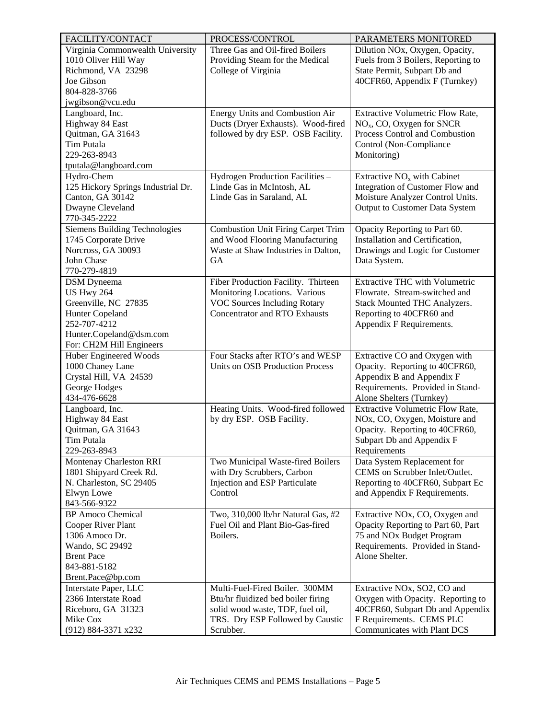| Virginia Commonwealth University<br>Three Gas and Oil-fired Boilers<br>Dilution NO <sub>x</sub> , Oxygen, Opacity,<br>1010 Oliver Hill Way<br>Providing Steam for the Medical<br>Fuels from 3 Boilers, Reporting to<br>Richmond, VA 23298<br>College of Virginia<br>State Permit, Subpart Db and<br>Joe Gibson<br>40CFR60, Appendix F (Turnkey)<br>804-828-3766<br>jwgibson@vcu.edu<br>Langboard, Inc.<br>Energy Units and Combustion Air<br>Extractive Volumetric Flow Rate,<br>Highway 84 East<br>Ducts (Dryer Exhausts). Wood-fired<br>$NOx$ , CO, Oxygen for SNCR<br>Quitman, GA 31643<br>followed by dry ESP. OSB Facility.<br>Process Control and Combustion<br>Tim Putala<br>Control (Non-Compliance<br>229-263-8943<br>Monitoring)<br>tputala@langboard.com<br>Extractive NO <sub>x</sub> with Cabinet<br>Hydro-Chem<br>Hydrogen Production Facilities -<br>125 Hickory Springs Industrial Dr.<br>Linde Gas in McIntosh, AL<br>Integration of Customer Flow and<br>Canton, GA 30142<br>Linde Gas in Saraland, AL<br>Moisture Analyzer Control Units.<br>Dwayne Cleveland<br>Output to Customer Data System<br>770-345-2222<br><b>Siemens Building Technologies</b><br>Opacity Reporting to Part 60.<br><b>Combustion Unit Firing Carpet Trim</b><br>1745 Corporate Drive<br>and Wood Flooring Manufacturing<br>Installation and Certification,<br>Norcross, GA 30093<br>Waste at Shaw Industries in Dalton,<br>Drawings and Logic for Customer<br>John Chase<br>GA<br>Data System.<br>770-279-4819<br>Fiber Production Facility. Thirteen<br><b>Extractive THC with Volumetric</b><br><b>DSM</b> Dyneema<br><b>US Hwy 264</b><br>Monitoring Locations. Various<br>Flowrate. Stream-switched and<br><b>VOC Sources Including Rotary</b><br>Greenville, NC 27835<br>Stack Mounted THC Analyzers.<br>Hunter Copeland<br><b>Concentrator and RTO Exhausts</b><br>Reporting to 40CFR60 and<br>252-707-4212<br>Appendix F Requirements.<br>Hunter.Copeland@dsm.com<br>For: CH2M Hill Engineers<br>Huber Engineered Woods<br>Four Stacks after RTO's and WESP<br>Extractive CO and Oxygen with<br>1000 Chaney Lane<br><b>Units on OSB Production Process</b><br>Opacity. Reporting to 40CFR60,<br>Crystal Hill, VA 24539<br>Appendix B and Appendix F<br>Requirements. Provided in Stand-<br>George Hodges<br>434-476-6628<br>Alone Shelters (Turnkey)<br>Heating Units. Wood-fired followed<br>Extractive Volumetric Flow Rate,<br>Langboard, Inc.<br>Highway 84 East<br>NOx, CO, Oxygen, Moisture and<br>by dry ESP. OSB Facility.<br>Quitman, GA 31643<br>Opacity. Reporting to 40CFR60,<br>Subpart Db and Appendix F<br>Tim Putala<br>229-263-8943<br>Requirements<br>Data System Replacement for<br>Montenay Charleston RRI<br>Two Municipal Waste-fired Boilers<br>with Dry Scrubbers, Carbon<br>1801 Shipyard Creek Rd.<br>CEMS on Scrubber Inlet/Outlet.<br>N. Charleston, SC 29405<br>Injection and ESP Particulate<br>Reporting to 40CFR60, Subpart Ec<br>Control<br>Elwyn Lowe<br>and Appendix F Requirements.<br>843-566-9322<br><b>BP</b> Amoco Chemical<br>Two, 310,000 lb/hr Natural Gas, #2<br>Extractive NO <sub>x</sub> , CO, Oxygen and<br>Fuel Oil and Plant Bio-Gas-fired<br>Cooper River Plant<br>Opacity Reporting to Part 60, Part<br>Boilers.<br>1306 Amoco Dr.<br>75 and NO <sub>x</sub> Budget Program<br>Wando, SC 29492<br>Requirements. Provided in Stand-<br>Alone Shelter.<br><b>Brent Pace</b><br>843-881-5182<br>Brent.Pace@bp.com<br>Multi-Fuel-Fired Boiler. 300MM<br>Extractive NOx, SO2, CO and<br>Interstate Paper, LLC<br>2366 Interstate Road<br>Btu/hr fluidized bed boiler firing<br>Oxygen with Opacity. Reporting to<br>Riceboro, GA 31323<br>solid wood waste, TDF, fuel oil,<br>40CFR60, Subpart Db and Appendix<br>F Requirements. CEMS PLC<br>Mike Cox<br>TRS. Dry ESP Followed by Caustic | FACILITY/CONTACT    | PROCESS/CONTROL | PARAMETERS MONITORED        |
|----------------------------------------------------------------------------------------------------------------------------------------------------------------------------------------------------------------------------------------------------------------------------------------------------------------------------------------------------------------------------------------------------------------------------------------------------------------------------------------------------------------------------------------------------------------------------------------------------------------------------------------------------------------------------------------------------------------------------------------------------------------------------------------------------------------------------------------------------------------------------------------------------------------------------------------------------------------------------------------------------------------------------------------------------------------------------------------------------------------------------------------------------------------------------------------------------------------------------------------------------------------------------------------------------------------------------------------------------------------------------------------------------------------------------------------------------------------------------------------------------------------------------------------------------------------------------------------------------------------------------------------------------------------------------------------------------------------------------------------------------------------------------------------------------------------------------------------------------------------------------------------------------------------------------------------------------------------------------------------------------------------------------------------------------------------------------------------------------------------------------------------------------------------------------------------------------------------------------------------------------------------------------------------------------------------------------------------------------------------------------------------------------------------------------------------------------------------------------------------------------------------------------------------------------------------------------------------------------------------------------------------------------------------------------------------------------------------------------------------------------------------------------------------------------------------------------------------------------------------------------------------------------------------------------------------------------------------------------------------------------------------------------------------------------------------------------------------------------------------------------------------------------------------------------------------------------------------------------------------------------------------------------------------------------------------------------------------------------------------------------------------------------------------------------------------------------------------------------------------------------------------------------------------------------------------------------------------------------------------------------------------------------------------------------------------------------------------------------------------------------------------------------------------------------------------------------------------------|---------------------|-----------------|-----------------------------|
|                                                                                                                                                                                                                                                                                                                                                                                                                                                                                                                                                                                                                                                                                                                                                                                                                                                                                                                                                                                                                                                                                                                                                                                                                                                                                                                                                                                                                                                                                                                                                                                                                                                                                                                                                                                                                                                                                                                                                                                                                                                                                                                                                                                                                                                                                                                                                                                                                                                                                                                                                                                                                                                                                                                                                                                                                                                                                                                                                                                                                                                                                                                                                                                                                                                                                                                                                                                                                                                                                                                                                                                                                                                                                                                                                                                                                                              |                     |                 |                             |
|                                                                                                                                                                                                                                                                                                                                                                                                                                                                                                                                                                                                                                                                                                                                                                                                                                                                                                                                                                                                                                                                                                                                                                                                                                                                                                                                                                                                                                                                                                                                                                                                                                                                                                                                                                                                                                                                                                                                                                                                                                                                                                                                                                                                                                                                                                                                                                                                                                                                                                                                                                                                                                                                                                                                                                                                                                                                                                                                                                                                                                                                                                                                                                                                                                                                                                                                                                                                                                                                                                                                                                                                                                                                                                                                                                                                                                              |                     |                 |                             |
|                                                                                                                                                                                                                                                                                                                                                                                                                                                                                                                                                                                                                                                                                                                                                                                                                                                                                                                                                                                                                                                                                                                                                                                                                                                                                                                                                                                                                                                                                                                                                                                                                                                                                                                                                                                                                                                                                                                                                                                                                                                                                                                                                                                                                                                                                                                                                                                                                                                                                                                                                                                                                                                                                                                                                                                                                                                                                                                                                                                                                                                                                                                                                                                                                                                                                                                                                                                                                                                                                                                                                                                                                                                                                                                                                                                                                                              |                     |                 |                             |
|                                                                                                                                                                                                                                                                                                                                                                                                                                                                                                                                                                                                                                                                                                                                                                                                                                                                                                                                                                                                                                                                                                                                                                                                                                                                                                                                                                                                                                                                                                                                                                                                                                                                                                                                                                                                                                                                                                                                                                                                                                                                                                                                                                                                                                                                                                                                                                                                                                                                                                                                                                                                                                                                                                                                                                                                                                                                                                                                                                                                                                                                                                                                                                                                                                                                                                                                                                                                                                                                                                                                                                                                                                                                                                                                                                                                                                              |                     |                 |                             |
|                                                                                                                                                                                                                                                                                                                                                                                                                                                                                                                                                                                                                                                                                                                                                                                                                                                                                                                                                                                                                                                                                                                                                                                                                                                                                                                                                                                                                                                                                                                                                                                                                                                                                                                                                                                                                                                                                                                                                                                                                                                                                                                                                                                                                                                                                                                                                                                                                                                                                                                                                                                                                                                                                                                                                                                                                                                                                                                                                                                                                                                                                                                                                                                                                                                                                                                                                                                                                                                                                                                                                                                                                                                                                                                                                                                                                                              |                     |                 |                             |
|                                                                                                                                                                                                                                                                                                                                                                                                                                                                                                                                                                                                                                                                                                                                                                                                                                                                                                                                                                                                                                                                                                                                                                                                                                                                                                                                                                                                                                                                                                                                                                                                                                                                                                                                                                                                                                                                                                                                                                                                                                                                                                                                                                                                                                                                                                                                                                                                                                                                                                                                                                                                                                                                                                                                                                                                                                                                                                                                                                                                                                                                                                                                                                                                                                                                                                                                                                                                                                                                                                                                                                                                                                                                                                                                                                                                                                              |                     |                 |                             |
|                                                                                                                                                                                                                                                                                                                                                                                                                                                                                                                                                                                                                                                                                                                                                                                                                                                                                                                                                                                                                                                                                                                                                                                                                                                                                                                                                                                                                                                                                                                                                                                                                                                                                                                                                                                                                                                                                                                                                                                                                                                                                                                                                                                                                                                                                                                                                                                                                                                                                                                                                                                                                                                                                                                                                                                                                                                                                                                                                                                                                                                                                                                                                                                                                                                                                                                                                                                                                                                                                                                                                                                                                                                                                                                                                                                                                                              |                     |                 |                             |
|                                                                                                                                                                                                                                                                                                                                                                                                                                                                                                                                                                                                                                                                                                                                                                                                                                                                                                                                                                                                                                                                                                                                                                                                                                                                                                                                                                                                                                                                                                                                                                                                                                                                                                                                                                                                                                                                                                                                                                                                                                                                                                                                                                                                                                                                                                                                                                                                                                                                                                                                                                                                                                                                                                                                                                                                                                                                                                                                                                                                                                                                                                                                                                                                                                                                                                                                                                                                                                                                                                                                                                                                                                                                                                                                                                                                                                              |                     |                 |                             |
|                                                                                                                                                                                                                                                                                                                                                                                                                                                                                                                                                                                                                                                                                                                                                                                                                                                                                                                                                                                                                                                                                                                                                                                                                                                                                                                                                                                                                                                                                                                                                                                                                                                                                                                                                                                                                                                                                                                                                                                                                                                                                                                                                                                                                                                                                                                                                                                                                                                                                                                                                                                                                                                                                                                                                                                                                                                                                                                                                                                                                                                                                                                                                                                                                                                                                                                                                                                                                                                                                                                                                                                                                                                                                                                                                                                                                                              |                     |                 |                             |
|                                                                                                                                                                                                                                                                                                                                                                                                                                                                                                                                                                                                                                                                                                                                                                                                                                                                                                                                                                                                                                                                                                                                                                                                                                                                                                                                                                                                                                                                                                                                                                                                                                                                                                                                                                                                                                                                                                                                                                                                                                                                                                                                                                                                                                                                                                                                                                                                                                                                                                                                                                                                                                                                                                                                                                                                                                                                                                                                                                                                                                                                                                                                                                                                                                                                                                                                                                                                                                                                                                                                                                                                                                                                                                                                                                                                                                              |                     |                 |                             |
|                                                                                                                                                                                                                                                                                                                                                                                                                                                                                                                                                                                                                                                                                                                                                                                                                                                                                                                                                                                                                                                                                                                                                                                                                                                                                                                                                                                                                                                                                                                                                                                                                                                                                                                                                                                                                                                                                                                                                                                                                                                                                                                                                                                                                                                                                                                                                                                                                                                                                                                                                                                                                                                                                                                                                                                                                                                                                                                                                                                                                                                                                                                                                                                                                                                                                                                                                                                                                                                                                                                                                                                                                                                                                                                                                                                                                                              |                     |                 |                             |
|                                                                                                                                                                                                                                                                                                                                                                                                                                                                                                                                                                                                                                                                                                                                                                                                                                                                                                                                                                                                                                                                                                                                                                                                                                                                                                                                                                                                                                                                                                                                                                                                                                                                                                                                                                                                                                                                                                                                                                                                                                                                                                                                                                                                                                                                                                                                                                                                                                                                                                                                                                                                                                                                                                                                                                                                                                                                                                                                                                                                                                                                                                                                                                                                                                                                                                                                                                                                                                                                                                                                                                                                                                                                                                                                                                                                                                              |                     |                 |                             |
|                                                                                                                                                                                                                                                                                                                                                                                                                                                                                                                                                                                                                                                                                                                                                                                                                                                                                                                                                                                                                                                                                                                                                                                                                                                                                                                                                                                                                                                                                                                                                                                                                                                                                                                                                                                                                                                                                                                                                                                                                                                                                                                                                                                                                                                                                                                                                                                                                                                                                                                                                                                                                                                                                                                                                                                                                                                                                                                                                                                                                                                                                                                                                                                                                                                                                                                                                                                                                                                                                                                                                                                                                                                                                                                                                                                                                                              |                     |                 |                             |
|                                                                                                                                                                                                                                                                                                                                                                                                                                                                                                                                                                                                                                                                                                                                                                                                                                                                                                                                                                                                                                                                                                                                                                                                                                                                                                                                                                                                                                                                                                                                                                                                                                                                                                                                                                                                                                                                                                                                                                                                                                                                                                                                                                                                                                                                                                                                                                                                                                                                                                                                                                                                                                                                                                                                                                                                                                                                                                                                                                                                                                                                                                                                                                                                                                                                                                                                                                                                                                                                                                                                                                                                                                                                                                                                                                                                                                              |                     |                 |                             |
|                                                                                                                                                                                                                                                                                                                                                                                                                                                                                                                                                                                                                                                                                                                                                                                                                                                                                                                                                                                                                                                                                                                                                                                                                                                                                                                                                                                                                                                                                                                                                                                                                                                                                                                                                                                                                                                                                                                                                                                                                                                                                                                                                                                                                                                                                                                                                                                                                                                                                                                                                                                                                                                                                                                                                                                                                                                                                                                                                                                                                                                                                                                                                                                                                                                                                                                                                                                                                                                                                                                                                                                                                                                                                                                                                                                                                                              |                     |                 |                             |
|                                                                                                                                                                                                                                                                                                                                                                                                                                                                                                                                                                                                                                                                                                                                                                                                                                                                                                                                                                                                                                                                                                                                                                                                                                                                                                                                                                                                                                                                                                                                                                                                                                                                                                                                                                                                                                                                                                                                                                                                                                                                                                                                                                                                                                                                                                                                                                                                                                                                                                                                                                                                                                                                                                                                                                                                                                                                                                                                                                                                                                                                                                                                                                                                                                                                                                                                                                                                                                                                                                                                                                                                                                                                                                                                                                                                                                              |                     |                 |                             |
|                                                                                                                                                                                                                                                                                                                                                                                                                                                                                                                                                                                                                                                                                                                                                                                                                                                                                                                                                                                                                                                                                                                                                                                                                                                                                                                                                                                                                                                                                                                                                                                                                                                                                                                                                                                                                                                                                                                                                                                                                                                                                                                                                                                                                                                                                                                                                                                                                                                                                                                                                                                                                                                                                                                                                                                                                                                                                                                                                                                                                                                                                                                                                                                                                                                                                                                                                                                                                                                                                                                                                                                                                                                                                                                                                                                                                                              |                     |                 |                             |
|                                                                                                                                                                                                                                                                                                                                                                                                                                                                                                                                                                                                                                                                                                                                                                                                                                                                                                                                                                                                                                                                                                                                                                                                                                                                                                                                                                                                                                                                                                                                                                                                                                                                                                                                                                                                                                                                                                                                                                                                                                                                                                                                                                                                                                                                                                                                                                                                                                                                                                                                                                                                                                                                                                                                                                                                                                                                                                                                                                                                                                                                                                                                                                                                                                                                                                                                                                                                                                                                                                                                                                                                                                                                                                                                                                                                                                              |                     |                 |                             |
|                                                                                                                                                                                                                                                                                                                                                                                                                                                                                                                                                                                                                                                                                                                                                                                                                                                                                                                                                                                                                                                                                                                                                                                                                                                                                                                                                                                                                                                                                                                                                                                                                                                                                                                                                                                                                                                                                                                                                                                                                                                                                                                                                                                                                                                                                                                                                                                                                                                                                                                                                                                                                                                                                                                                                                                                                                                                                                                                                                                                                                                                                                                                                                                                                                                                                                                                                                                                                                                                                                                                                                                                                                                                                                                                                                                                                                              |                     |                 |                             |
|                                                                                                                                                                                                                                                                                                                                                                                                                                                                                                                                                                                                                                                                                                                                                                                                                                                                                                                                                                                                                                                                                                                                                                                                                                                                                                                                                                                                                                                                                                                                                                                                                                                                                                                                                                                                                                                                                                                                                                                                                                                                                                                                                                                                                                                                                                                                                                                                                                                                                                                                                                                                                                                                                                                                                                                                                                                                                                                                                                                                                                                                                                                                                                                                                                                                                                                                                                                                                                                                                                                                                                                                                                                                                                                                                                                                                                              |                     |                 |                             |
|                                                                                                                                                                                                                                                                                                                                                                                                                                                                                                                                                                                                                                                                                                                                                                                                                                                                                                                                                                                                                                                                                                                                                                                                                                                                                                                                                                                                                                                                                                                                                                                                                                                                                                                                                                                                                                                                                                                                                                                                                                                                                                                                                                                                                                                                                                                                                                                                                                                                                                                                                                                                                                                                                                                                                                                                                                                                                                                                                                                                                                                                                                                                                                                                                                                                                                                                                                                                                                                                                                                                                                                                                                                                                                                                                                                                                                              |                     |                 |                             |
|                                                                                                                                                                                                                                                                                                                                                                                                                                                                                                                                                                                                                                                                                                                                                                                                                                                                                                                                                                                                                                                                                                                                                                                                                                                                                                                                                                                                                                                                                                                                                                                                                                                                                                                                                                                                                                                                                                                                                                                                                                                                                                                                                                                                                                                                                                                                                                                                                                                                                                                                                                                                                                                                                                                                                                                                                                                                                                                                                                                                                                                                                                                                                                                                                                                                                                                                                                                                                                                                                                                                                                                                                                                                                                                                                                                                                                              |                     |                 |                             |
|                                                                                                                                                                                                                                                                                                                                                                                                                                                                                                                                                                                                                                                                                                                                                                                                                                                                                                                                                                                                                                                                                                                                                                                                                                                                                                                                                                                                                                                                                                                                                                                                                                                                                                                                                                                                                                                                                                                                                                                                                                                                                                                                                                                                                                                                                                                                                                                                                                                                                                                                                                                                                                                                                                                                                                                                                                                                                                                                                                                                                                                                                                                                                                                                                                                                                                                                                                                                                                                                                                                                                                                                                                                                                                                                                                                                                                              |                     |                 |                             |
|                                                                                                                                                                                                                                                                                                                                                                                                                                                                                                                                                                                                                                                                                                                                                                                                                                                                                                                                                                                                                                                                                                                                                                                                                                                                                                                                                                                                                                                                                                                                                                                                                                                                                                                                                                                                                                                                                                                                                                                                                                                                                                                                                                                                                                                                                                                                                                                                                                                                                                                                                                                                                                                                                                                                                                                                                                                                                                                                                                                                                                                                                                                                                                                                                                                                                                                                                                                                                                                                                                                                                                                                                                                                                                                                                                                                                                              |                     |                 |                             |
|                                                                                                                                                                                                                                                                                                                                                                                                                                                                                                                                                                                                                                                                                                                                                                                                                                                                                                                                                                                                                                                                                                                                                                                                                                                                                                                                                                                                                                                                                                                                                                                                                                                                                                                                                                                                                                                                                                                                                                                                                                                                                                                                                                                                                                                                                                                                                                                                                                                                                                                                                                                                                                                                                                                                                                                                                                                                                                                                                                                                                                                                                                                                                                                                                                                                                                                                                                                                                                                                                                                                                                                                                                                                                                                                                                                                                                              |                     |                 |                             |
|                                                                                                                                                                                                                                                                                                                                                                                                                                                                                                                                                                                                                                                                                                                                                                                                                                                                                                                                                                                                                                                                                                                                                                                                                                                                                                                                                                                                                                                                                                                                                                                                                                                                                                                                                                                                                                                                                                                                                                                                                                                                                                                                                                                                                                                                                                                                                                                                                                                                                                                                                                                                                                                                                                                                                                                                                                                                                                                                                                                                                                                                                                                                                                                                                                                                                                                                                                                                                                                                                                                                                                                                                                                                                                                                                                                                                                              |                     |                 |                             |
|                                                                                                                                                                                                                                                                                                                                                                                                                                                                                                                                                                                                                                                                                                                                                                                                                                                                                                                                                                                                                                                                                                                                                                                                                                                                                                                                                                                                                                                                                                                                                                                                                                                                                                                                                                                                                                                                                                                                                                                                                                                                                                                                                                                                                                                                                                                                                                                                                                                                                                                                                                                                                                                                                                                                                                                                                                                                                                                                                                                                                                                                                                                                                                                                                                                                                                                                                                                                                                                                                                                                                                                                                                                                                                                                                                                                                                              |                     |                 |                             |
|                                                                                                                                                                                                                                                                                                                                                                                                                                                                                                                                                                                                                                                                                                                                                                                                                                                                                                                                                                                                                                                                                                                                                                                                                                                                                                                                                                                                                                                                                                                                                                                                                                                                                                                                                                                                                                                                                                                                                                                                                                                                                                                                                                                                                                                                                                                                                                                                                                                                                                                                                                                                                                                                                                                                                                                                                                                                                                                                                                                                                                                                                                                                                                                                                                                                                                                                                                                                                                                                                                                                                                                                                                                                                                                                                                                                                                              |                     |                 |                             |
|                                                                                                                                                                                                                                                                                                                                                                                                                                                                                                                                                                                                                                                                                                                                                                                                                                                                                                                                                                                                                                                                                                                                                                                                                                                                                                                                                                                                                                                                                                                                                                                                                                                                                                                                                                                                                                                                                                                                                                                                                                                                                                                                                                                                                                                                                                                                                                                                                                                                                                                                                                                                                                                                                                                                                                                                                                                                                                                                                                                                                                                                                                                                                                                                                                                                                                                                                                                                                                                                                                                                                                                                                                                                                                                                                                                                                                              |                     |                 |                             |
|                                                                                                                                                                                                                                                                                                                                                                                                                                                                                                                                                                                                                                                                                                                                                                                                                                                                                                                                                                                                                                                                                                                                                                                                                                                                                                                                                                                                                                                                                                                                                                                                                                                                                                                                                                                                                                                                                                                                                                                                                                                                                                                                                                                                                                                                                                                                                                                                                                                                                                                                                                                                                                                                                                                                                                                                                                                                                                                                                                                                                                                                                                                                                                                                                                                                                                                                                                                                                                                                                                                                                                                                                                                                                                                                                                                                                                              |                     |                 |                             |
|                                                                                                                                                                                                                                                                                                                                                                                                                                                                                                                                                                                                                                                                                                                                                                                                                                                                                                                                                                                                                                                                                                                                                                                                                                                                                                                                                                                                                                                                                                                                                                                                                                                                                                                                                                                                                                                                                                                                                                                                                                                                                                                                                                                                                                                                                                                                                                                                                                                                                                                                                                                                                                                                                                                                                                                                                                                                                                                                                                                                                                                                                                                                                                                                                                                                                                                                                                                                                                                                                                                                                                                                                                                                                                                                                                                                                                              |                     |                 |                             |
|                                                                                                                                                                                                                                                                                                                                                                                                                                                                                                                                                                                                                                                                                                                                                                                                                                                                                                                                                                                                                                                                                                                                                                                                                                                                                                                                                                                                                                                                                                                                                                                                                                                                                                                                                                                                                                                                                                                                                                                                                                                                                                                                                                                                                                                                                                                                                                                                                                                                                                                                                                                                                                                                                                                                                                                                                                                                                                                                                                                                                                                                                                                                                                                                                                                                                                                                                                                                                                                                                                                                                                                                                                                                                                                                                                                                                                              |                     |                 |                             |
|                                                                                                                                                                                                                                                                                                                                                                                                                                                                                                                                                                                                                                                                                                                                                                                                                                                                                                                                                                                                                                                                                                                                                                                                                                                                                                                                                                                                                                                                                                                                                                                                                                                                                                                                                                                                                                                                                                                                                                                                                                                                                                                                                                                                                                                                                                                                                                                                                                                                                                                                                                                                                                                                                                                                                                                                                                                                                                                                                                                                                                                                                                                                                                                                                                                                                                                                                                                                                                                                                                                                                                                                                                                                                                                                                                                                                                              |                     |                 |                             |
|                                                                                                                                                                                                                                                                                                                                                                                                                                                                                                                                                                                                                                                                                                                                                                                                                                                                                                                                                                                                                                                                                                                                                                                                                                                                                                                                                                                                                                                                                                                                                                                                                                                                                                                                                                                                                                                                                                                                                                                                                                                                                                                                                                                                                                                                                                                                                                                                                                                                                                                                                                                                                                                                                                                                                                                                                                                                                                                                                                                                                                                                                                                                                                                                                                                                                                                                                                                                                                                                                                                                                                                                                                                                                                                                                                                                                                              |                     |                 |                             |
|                                                                                                                                                                                                                                                                                                                                                                                                                                                                                                                                                                                                                                                                                                                                                                                                                                                                                                                                                                                                                                                                                                                                                                                                                                                                                                                                                                                                                                                                                                                                                                                                                                                                                                                                                                                                                                                                                                                                                                                                                                                                                                                                                                                                                                                                                                                                                                                                                                                                                                                                                                                                                                                                                                                                                                                                                                                                                                                                                                                                                                                                                                                                                                                                                                                                                                                                                                                                                                                                                                                                                                                                                                                                                                                                                                                                                                              |                     |                 |                             |
|                                                                                                                                                                                                                                                                                                                                                                                                                                                                                                                                                                                                                                                                                                                                                                                                                                                                                                                                                                                                                                                                                                                                                                                                                                                                                                                                                                                                                                                                                                                                                                                                                                                                                                                                                                                                                                                                                                                                                                                                                                                                                                                                                                                                                                                                                                                                                                                                                                                                                                                                                                                                                                                                                                                                                                                                                                                                                                                                                                                                                                                                                                                                                                                                                                                                                                                                                                                                                                                                                                                                                                                                                                                                                                                                                                                                                                              |                     |                 |                             |
|                                                                                                                                                                                                                                                                                                                                                                                                                                                                                                                                                                                                                                                                                                                                                                                                                                                                                                                                                                                                                                                                                                                                                                                                                                                                                                                                                                                                                                                                                                                                                                                                                                                                                                                                                                                                                                                                                                                                                                                                                                                                                                                                                                                                                                                                                                                                                                                                                                                                                                                                                                                                                                                                                                                                                                                                                                                                                                                                                                                                                                                                                                                                                                                                                                                                                                                                                                                                                                                                                                                                                                                                                                                                                                                                                                                                                                              |                     |                 |                             |
|                                                                                                                                                                                                                                                                                                                                                                                                                                                                                                                                                                                                                                                                                                                                                                                                                                                                                                                                                                                                                                                                                                                                                                                                                                                                                                                                                                                                                                                                                                                                                                                                                                                                                                                                                                                                                                                                                                                                                                                                                                                                                                                                                                                                                                                                                                                                                                                                                                                                                                                                                                                                                                                                                                                                                                                                                                                                                                                                                                                                                                                                                                                                                                                                                                                                                                                                                                                                                                                                                                                                                                                                                                                                                                                                                                                                                                              |                     |                 |                             |
|                                                                                                                                                                                                                                                                                                                                                                                                                                                                                                                                                                                                                                                                                                                                                                                                                                                                                                                                                                                                                                                                                                                                                                                                                                                                                                                                                                                                                                                                                                                                                                                                                                                                                                                                                                                                                                                                                                                                                                                                                                                                                                                                                                                                                                                                                                                                                                                                                                                                                                                                                                                                                                                                                                                                                                                                                                                                                                                                                                                                                                                                                                                                                                                                                                                                                                                                                                                                                                                                                                                                                                                                                                                                                                                                                                                                                                              |                     |                 |                             |
|                                                                                                                                                                                                                                                                                                                                                                                                                                                                                                                                                                                                                                                                                                                                                                                                                                                                                                                                                                                                                                                                                                                                                                                                                                                                                                                                                                                                                                                                                                                                                                                                                                                                                                                                                                                                                                                                                                                                                                                                                                                                                                                                                                                                                                                                                                                                                                                                                                                                                                                                                                                                                                                                                                                                                                                                                                                                                                                                                                                                                                                                                                                                                                                                                                                                                                                                                                                                                                                                                                                                                                                                                                                                                                                                                                                                                                              |                     |                 |                             |
|                                                                                                                                                                                                                                                                                                                                                                                                                                                                                                                                                                                                                                                                                                                                                                                                                                                                                                                                                                                                                                                                                                                                                                                                                                                                                                                                                                                                                                                                                                                                                                                                                                                                                                                                                                                                                                                                                                                                                                                                                                                                                                                                                                                                                                                                                                                                                                                                                                                                                                                                                                                                                                                                                                                                                                                                                                                                                                                                                                                                                                                                                                                                                                                                                                                                                                                                                                                                                                                                                                                                                                                                                                                                                                                                                                                                                                              |                     |                 |                             |
|                                                                                                                                                                                                                                                                                                                                                                                                                                                                                                                                                                                                                                                                                                                                                                                                                                                                                                                                                                                                                                                                                                                                                                                                                                                                                                                                                                                                                                                                                                                                                                                                                                                                                                                                                                                                                                                                                                                                                                                                                                                                                                                                                                                                                                                                                                                                                                                                                                                                                                                                                                                                                                                                                                                                                                                                                                                                                                                                                                                                                                                                                                                                                                                                                                                                                                                                                                                                                                                                                                                                                                                                                                                                                                                                                                                                                                              |                     |                 |                             |
|                                                                                                                                                                                                                                                                                                                                                                                                                                                                                                                                                                                                                                                                                                                                                                                                                                                                                                                                                                                                                                                                                                                                                                                                                                                                                                                                                                                                                                                                                                                                                                                                                                                                                                                                                                                                                                                                                                                                                                                                                                                                                                                                                                                                                                                                                                                                                                                                                                                                                                                                                                                                                                                                                                                                                                                                                                                                                                                                                                                                                                                                                                                                                                                                                                                                                                                                                                                                                                                                                                                                                                                                                                                                                                                                                                                                                                              |                     |                 |                             |
|                                                                                                                                                                                                                                                                                                                                                                                                                                                                                                                                                                                                                                                                                                                                                                                                                                                                                                                                                                                                                                                                                                                                                                                                                                                                                                                                                                                                                                                                                                                                                                                                                                                                                                                                                                                                                                                                                                                                                                                                                                                                                                                                                                                                                                                                                                                                                                                                                                                                                                                                                                                                                                                                                                                                                                                                                                                                                                                                                                                                                                                                                                                                                                                                                                                                                                                                                                                                                                                                                                                                                                                                                                                                                                                                                                                                                                              |                     |                 |                             |
|                                                                                                                                                                                                                                                                                                                                                                                                                                                                                                                                                                                                                                                                                                                                                                                                                                                                                                                                                                                                                                                                                                                                                                                                                                                                                                                                                                                                                                                                                                                                                                                                                                                                                                                                                                                                                                                                                                                                                                                                                                                                                                                                                                                                                                                                                                                                                                                                                                                                                                                                                                                                                                                                                                                                                                                                                                                                                                                                                                                                                                                                                                                                                                                                                                                                                                                                                                                                                                                                                                                                                                                                                                                                                                                                                                                                                                              |                     |                 |                             |
|                                                                                                                                                                                                                                                                                                                                                                                                                                                                                                                                                                                                                                                                                                                                                                                                                                                                                                                                                                                                                                                                                                                                                                                                                                                                                                                                                                                                                                                                                                                                                                                                                                                                                                                                                                                                                                                                                                                                                                                                                                                                                                                                                                                                                                                                                                                                                                                                                                                                                                                                                                                                                                                                                                                                                                                                                                                                                                                                                                                                                                                                                                                                                                                                                                                                                                                                                                                                                                                                                                                                                                                                                                                                                                                                                                                                                                              |                     |                 |                             |
|                                                                                                                                                                                                                                                                                                                                                                                                                                                                                                                                                                                                                                                                                                                                                                                                                                                                                                                                                                                                                                                                                                                                                                                                                                                                                                                                                                                                                                                                                                                                                                                                                                                                                                                                                                                                                                                                                                                                                                                                                                                                                                                                                                                                                                                                                                                                                                                                                                                                                                                                                                                                                                                                                                                                                                                                                                                                                                                                                                                                                                                                                                                                                                                                                                                                                                                                                                                                                                                                                                                                                                                                                                                                                                                                                                                                                                              |                     |                 |                             |
|                                                                                                                                                                                                                                                                                                                                                                                                                                                                                                                                                                                                                                                                                                                                                                                                                                                                                                                                                                                                                                                                                                                                                                                                                                                                                                                                                                                                                                                                                                                                                                                                                                                                                                                                                                                                                                                                                                                                                                                                                                                                                                                                                                                                                                                                                                                                                                                                                                                                                                                                                                                                                                                                                                                                                                                                                                                                                                                                                                                                                                                                                                                                                                                                                                                                                                                                                                                                                                                                                                                                                                                                                                                                                                                                                                                                                                              |                     |                 |                             |
|                                                                                                                                                                                                                                                                                                                                                                                                                                                                                                                                                                                                                                                                                                                                                                                                                                                                                                                                                                                                                                                                                                                                                                                                                                                                                                                                                                                                                                                                                                                                                                                                                                                                                                                                                                                                                                                                                                                                                                                                                                                                                                                                                                                                                                                                                                                                                                                                                                                                                                                                                                                                                                                                                                                                                                                                                                                                                                                                                                                                                                                                                                                                                                                                                                                                                                                                                                                                                                                                                                                                                                                                                                                                                                                                                                                                                                              |                     |                 |                             |
|                                                                                                                                                                                                                                                                                                                                                                                                                                                                                                                                                                                                                                                                                                                                                                                                                                                                                                                                                                                                                                                                                                                                                                                                                                                                                                                                                                                                                                                                                                                                                                                                                                                                                                                                                                                                                                                                                                                                                                                                                                                                                                                                                                                                                                                                                                                                                                                                                                                                                                                                                                                                                                                                                                                                                                                                                                                                                                                                                                                                                                                                                                                                                                                                                                                                                                                                                                                                                                                                                                                                                                                                                                                                                                                                                                                                                                              |                     |                 |                             |
|                                                                                                                                                                                                                                                                                                                                                                                                                                                                                                                                                                                                                                                                                                                                                                                                                                                                                                                                                                                                                                                                                                                                                                                                                                                                                                                                                                                                                                                                                                                                                                                                                                                                                                                                                                                                                                                                                                                                                                                                                                                                                                                                                                                                                                                                                                                                                                                                                                                                                                                                                                                                                                                                                                                                                                                                                                                                                                                                                                                                                                                                                                                                                                                                                                                                                                                                                                                                                                                                                                                                                                                                                                                                                                                                                                                                                                              |                     |                 |                             |
|                                                                                                                                                                                                                                                                                                                                                                                                                                                                                                                                                                                                                                                                                                                                                                                                                                                                                                                                                                                                                                                                                                                                                                                                                                                                                                                                                                                                                                                                                                                                                                                                                                                                                                                                                                                                                                                                                                                                                                                                                                                                                                                                                                                                                                                                                                                                                                                                                                                                                                                                                                                                                                                                                                                                                                                                                                                                                                                                                                                                                                                                                                                                                                                                                                                                                                                                                                                                                                                                                                                                                                                                                                                                                                                                                                                                                                              |                     |                 |                             |
|                                                                                                                                                                                                                                                                                                                                                                                                                                                                                                                                                                                                                                                                                                                                                                                                                                                                                                                                                                                                                                                                                                                                                                                                                                                                                                                                                                                                                                                                                                                                                                                                                                                                                                                                                                                                                                                                                                                                                                                                                                                                                                                                                                                                                                                                                                                                                                                                                                                                                                                                                                                                                                                                                                                                                                                                                                                                                                                                                                                                                                                                                                                                                                                                                                                                                                                                                                                                                                                                                                                                                                                                                                                                                                                                                                                                                                              |                     |                 |                             |
|                                                                                                                                                                                                                                                                                                                                                                                                                                                                                                                                                                                                                                                                                                                                                                                                                                                                                                                                                                                                                                                                                                                                                                                                                                                                                                                                                                                                                                                                                                                                                                                                                                                                                                                                                                                                                                                                                                                                                                                                                                                                                                                                                                                                                                                                                                                                                                                                                                                                                                                                                                                                                                                                                                                                                                                                                                                                                                                                                                                                                                                                                                                                                                                                                                                                                                                                                                                                                                                                                                                                                                                                                                                                                                                                                                                                                                              |                     |                 |                             |
|                                                                                                                                                                                                                                                                                                                                                                                                                                                                                                                                                                                                                                                                                                                                                                                                                                                                                                                                                                                                                                                                                                                                                                                                                                                                                                                                                                                                                                                                                                                                                                                                                                                                                                                                                                                                                                                                                                                                                                                                                                                                                                                                                                                                                                                                                                                                                                                                                                                                                                                                                                                                                                                                                                                                                                                                                                                                                                                                                                                                                                                                                                                                                                                                                                                                                                                                                                                                                                                                                                                                                                                                                                                                                                                                                                                                                                              |                     |                 |                             |
|                                                                                                                                                                                                                                                                                                                                                                                                                                                                                                                                                                                                                                                                                                                                                                                                                                                                                                                                                                                                                                                                                                                                                                                                                                                                                                                                                                                                                                                                                                                                                                                                                                                                                                                                                                                                                                                                                                                                                                                                                                                                                                                                                                                                                                                                                                                                                                                                                                                                                                                                                                                                                                                                                                                                                                                                                                                                                                                                                                                                                                                                                                                                                                                                                                                                                                                                                                                                                                                                                                                                                                                                                                                                                                                                                                                                                                              |                     |                 |                             |
|                                                                                                                                                                                                                                                                                                                                                                                                                                                                                                                                                                                                                                                                                                                                                                                                                                                                                                                                                                                                                                                                                                                                                                                                                                                                                                                                                                                                                                                                                                                                                                                                                                                                                                                                                                                                                                                                                                                                                                                                                                                                                                                                                                                                                                                                                                                                                                                                                                                                                                                                                                                                                                                                                                                                                                                                                                                                                                                                                                                                                                                                                                                                                                                                                                                                                                                                                                                                                                                                                                                                                                                                                                                                                                                                                                                                                                              | (912) 884-3371 x232 | Scrubber.       | Communicates with Plant DCS |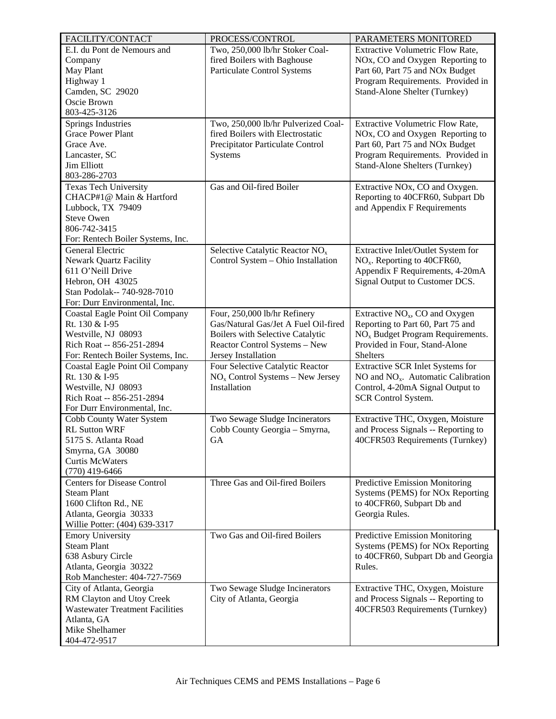| FACILITY/CONTACT                                         | PROCESS/CONTROL                             | PARAMETERS MONITORED                                           |
|----------------------------------------------------------|---------------------------------------------|----------------------------------------------------------------|
| E.I. du Pont de Nemours and                              | Two, 250,000 lb/hr Stoker Coal-             | <b>Extractive Volumetric Flow Rate,</b>                        |
| Company                                                  | fired Boilers with Baghouse                 | NO <sub>x</sub> , CO and Oxygen Reporting to                   |
| May Plant                                                | Particulate Control Systems                 | Part 60, Part 75 and NO <sub>x</sub> Budget                    |
| Highway 1                                                |                                             | Program Requirements. Provided in                              |
| Camden, SC 29020                                         |                                             | Stand-Alone Shelter (Turnkey)                                  |
| Oscie Brown                                              |                                             |                                                                |
| 803-425-3126                                             |                                             |                                                                |
| Springs Industries                                       | Two, 250,000 lb/hr Pulverized Coal-         | <b>Extractive Volumetric Flow Rate,</b>                        |
| <b>Grace Power Plant</b>                                 | fired Boilers with Electrostatic            | NOx, CO and Oxygen Reporting to                                |
| Grace Ave.                                               | Precipitator Particulate Control            | Part 60, Part 75 and NOx Budget                                |
| Lancaster, SC                                            | Systems                                     | Program Requirements. Provided in                              |
| <b>Jim Elliott</b>                                       |                                             | <b>Stand-Alone Shelters (Turnkey)</b>                          |
| 803-286-2703                                             |                                             |                                                                |
| <b>Texas Tech University</b><br>CHACP#1@ Main & Hartford | Gas and Oil-fired Boiler                    | Extractive NOx, CO and Oxygen.                                 |
|                                                          |                                             | Reporting to 40CFR60, Subpart Db                               |
| Lubbock, TX 79409<br><b>Steve Owen</b>                   |                                             | and Appendix F Requirements                                    |
| 806-742-3415                                             |                                             |                                                                |
| For: Rentech Boiler Systems, Inc.                        |                                             |                                                                |
| <b>General Electric</b>                                  | Selective Catalytic Reactor NO <sub>x</sub> | Extractive Inlet/Outlet System for                             |
| <b>Newark Quartz Facility</b>                            | Control System - Ohio Installation          | $NOx$ . Reporting to 40CFR60,                                  |
| 611 O'Neill Drive                                        |                                             | Appendix F Requirements, 4-20mA                                |
| Hebron, OH 43025                                         |                                             | Signal Output to Customer DCS.                                 |
| Stan Podolak-- 740-928-7010                              |                                             |                                                                |
| For: Durr Environmental, Inc.                            |                                             |                                                                |
| Coastal Eagle Point Oil Company                          | Four, 250,000 lb/hr Refinery                | Extractive $NOx$ , CO and Oxygen                               |
| Rt. 130 & I-95                                           | Gas/Natural Gas/Jet A Fuel Oil-fired        | Reporting to Part 60, Part 75 and                              |
| Westville, NJ 08093                                      | Boilers with Selective Catalytic            | NO <sub>x</sub> Budget Program Requirements.                   |
| Rich Roat -- 856-251-2894                                | Reactor Control Systems - New               | Provided in Four, Stand-Alone                                  |
| For: Rentech Boiler Systems, Inc.                        | Jersey Installation                         | <b>Shelters</b>                                                |
| Coastal Eagle Point Oil Company                          | Four Selective Catalytic Reactor            | Extractive SCR Inlet Systems for                               |
| Rt. 130 & I-95                                           | $NOx$ Control Systems – New Jersey          | NO and $NOx$ . Automatic Calibration                           |
| Westville, NJ 08093                                      | Installation                                | Control, 4-20mA Signal Output to                               |
| Rich Roat -- 856-251-2894                                |                                             | <b>SCR Control System.</b>                                     |
| For Durr Environmental, Inc.                             |                                             |                                                                |
| Cobb County Water System                                 | Two Sewage Sludge Incinerators              | Extractive THC, Oxygen, Moisture                               |
| <b>RL Sutton WRF</b>                                     | Cobb County Georgia - Smyrna,               | and Process Signals -- Reporting to                            |
| 5175 S. Atlanta Road                                     | GA                                          | 40CFR503 Requirements (Turnkey)                                |
| Smyrna, GA 30080                                         |                                             |                                                                |
| <b>Curtis McWaters</b>                                   |                                             |                                                                |
| $(770)$ 419-6466                                         |                                             |                                                                |
| <b>Centers for Disease Control</b><br><b>Steam Plant</b> | Three Gas and Oil-fired Boilers             | Predictive Emission Monitoring                                 |
| 1600 Clifton Rd., NE                                     |                                             | Systems (PEMS) for NOx Reporting<br>to 40CFR60, Subpart Db and |
| Atlanta, Georgia 30333                                   |                                             | Georgia Rules.                                                 |
| Willie Potter: (404) 639-3317                            |                                             |                                                                |
| <b>Emory University</b>                                  | Two Gas and Oil-fired Boilers               | Predictive Emission Monitoring                                 |
| <b>Steam Plant</b>                                       |                                             | Systems (PEMS) for NOx Reporting                               |
| 638 Asbury Circle                                        |                                             | to 40CFR60, Subpart Db and Georgia                             |
| Atlanta, Georgia 30322                                   |                                             | Rules.                                                         |
| Rob Manchester: 404-727-7569                             |                                             |                                                                |
| City of Atlanta, Georgia                                 | Two Sewage Sludge Incinerators              | Extractive THC, Oxygen, Moisture                               |
| RM Clayton and Utoy Creek                                | City of Atlanta, Georgia                    | and Process Signals -- Reporting to                            |
| <b>Wastewater Treatment Facilities</b>                   |                                             | 40CFR503 Requirements (Turnkey)                                |
| Atlanta, GA                                              |                                             |                                                                |
| Mike Shelhamer                                           |                                             |                                                                |
| 404-472-9517                                             |                                             |                                                                |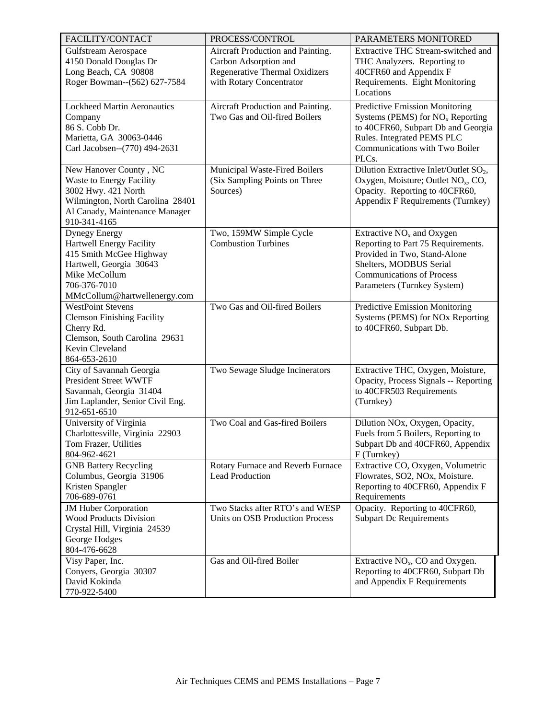| FACILITY/CONTACT                                                   | PROCESS/CONTROL                        | PARAMETERS MONITORED                               |
|--------------------------------------------------------------------|----------------------------------------|----------------------------------------------------|
| <b>Gulfstream Aerospace</b>                                        | Aircraft Production and Painting.      | Extractive THC Stream-switched and                 |
| 4150 Donald Douglas Dr                                             | Carbon Adsorption and                  | THC Analyzers. Reporting to                        |
| Long Beach, CA 90808                                               | Regenerative Thermal Oxidizers         | 40CFR60 and Appendix F                             |
| Roger Bowman--(562) 627-7584                                       | with Rotary Concentrator               | Requirements. Eight Monitoring                     |
|                                                                    |                                        | Locations                                          |
| <b>Lockheed Martin Aeronautics</b>                                 | Aircraft Production and Painting.      | Predictive Emission Monitoring                     |
| Company                                                            | Two Gas and Oil-fired Boilers          | Systems (PEMS) for $NOx$ Reporting                 |
| 86 S. Cobb Dr.                                                     |                                        | to 40CFR60, Subpart Db and Georgia                 |
| Marietta, GA 30063-0446                                            |                                        | Rules. Integrated PEMS PLC                         |
| Carl Jacobsen--(770) 494-2631                                      |                                        | Communications with Two Boiler                     |
|                                                                    |                                        | PLCs.                                              |
| New Hanover County, NC                                             | Municipal Waste-Fired Boilers          | Dilution Extractive Inlet/Outlet SO <sub>2</sub> , |
| Waste to Energy Facility                                           | (Six Sampling Points on Three          | Oxygen, Moisture; Outlet NO <sub>x</sub> , CO,     |
| 3002 Hwy. 421 North                                                | Sources)                               | Opacity. Reporting to 40CFR60,                     |
| Wilmington, North Carolina 28401<br>Al Canady, Maintenance Manager |                                        | Appendix F Requirements (Turnkey)                  |
| 910-341-4165                                                       |                                        |                                                    |
| <b>Dynegy Energy</b>                                               | Two, 159MW Simple Cycle                | Extractive $NOx$ and Oxygen                        |
| Hartwell Energy Facility                                           | <b>Combustion Turbines</b>             | Reporting to Part 75 Requirements.                 |
| 415 Smith McGee Highway                                            |                                        | Provided in Two, Stand-Alone                       |
| Hartwell, Georgia 30643                                            |                                        | Shelters, MODBUS Serial                            |
| Mike McCollum                                                      |                                        | <b>Communications of Process</b>                   |
| 706-376-7010                                                       |                                        | Parameters (Turnkey System)                        |
| MMcCollum@hartwellenergy.com                                       |                                        |                                                    |
| <b>WestPoint Stevens</b>                                           | Two Gas and Oil-fired Boilers          | Predictive Emission Monitoring                     |
| <b>Clemson Finishing Facility</b>                                  |                                        | Systems (PEMS) for NOx Reporting                   |
| Cherry Rd.                                                         |                                        | to 40CFR60, Subpart Db.                            |
| Clemson, South Carolina 29631<br>Kevin Cleveland                   |                                        |                                                    |
| 864-653-2610                                                       |                                        |                                                    |
| City of Savannah Georgia                                           | Two Sewage Sludge Incinerators         | Extractive THC, Oxygen, Moisture,                  |
| <b>President Street WWTF</b>                                       |                                        | Opacity, Process Signals -- Reporting              |
| Savannah, Georgia 31404                                            |                                        | to 40CFR503 Requirements                           |
| Jim Laplander, Senior Civil Eng.                                   |                                        | (Turnkey)                                          |
| 912-651-6510                                                       |                                        |                                                    |
| University of Virginia                                             | Two Coal and Gas-fired Boilers         | Dilution NOx, Oxygen, Opacity,                     |
| Charlottesville, Virginia 22903                                    |                                        | Fuels from 5 Boilers, Reporting to                 |
| Tom Frazer, Utilities                                              |                                        | Subpart Db and 40CFR60, Appendix                   |
| 804-962-4621                                                       |                                        | F (Turnkey)                                        |
| <b>GNB Battery Recycling</b>                                       | Rotary Furnace and Reverb Furnace      | Extractive CO, Oxygen, Volumetric                  |
| Columbus, Georgia 31906                                            | <b>Lead Production</b>                 | Flowrates, SO2, NOx, Moisture.                     |
| Kristen Spangler<br>706-689-0761                                   |                                        | Reporting to 40CFR60, Appendix F                   |
| JM Huber Corporation                                               | Two Stacks after RTO's and WESP        | Requirements<br>Opacity. Reporting to 40CFR60,     |
| <b>Wood Products Division</b>                                      | <b>Units on OSB Production Process</b> | <b>Subpart Dc Requirements</b>                     |
| Crystal Hill, Virginia 24539                                       |                                        |                                                    |
| George Hodges                                                      |                                        |                                                    |
| 804-476-6628                                                       |                                        |                                                    |
| Visy Paper, Inc.                                                   | Gas and Oil-fired Boiler               | Extractive $NOx$ , CO and Oxygen.                  |
| Conyers, Georgia 30307                                             |                                        | Reporting to 40CFR60, Subpart Db                   |
| David Kokinda                                                      |                                        | and Appendix F Requirements                        |
| 770-922-5400                                                       |                                        |                                                    |